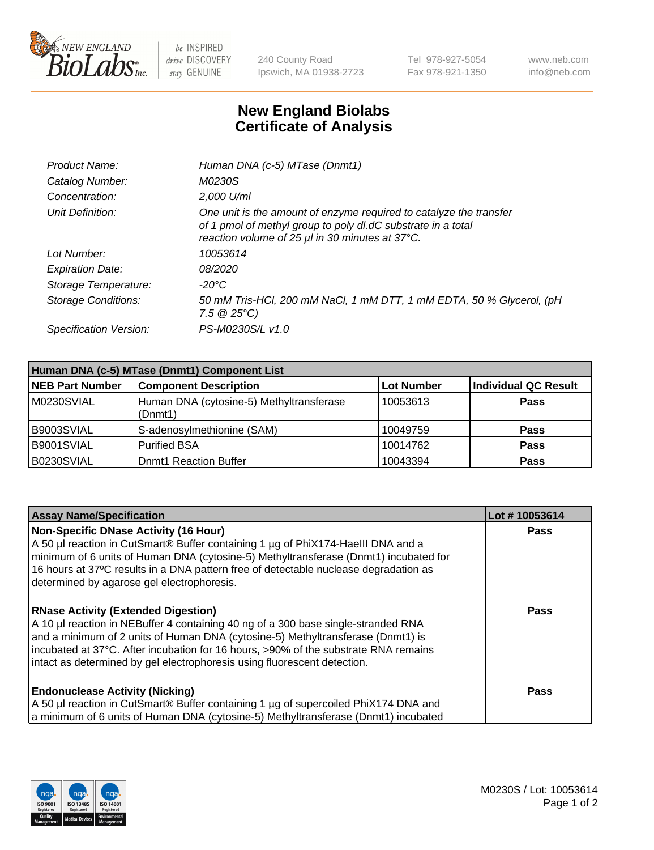

 $be$  INSPIRED drive DISCOVERY stay GENUINE

240 County Road Ipswich, MA 01938-2723 Tel 978-927-5054 Fax 978-921-1350 www.neb.com info@neb.com

## **New England Biolabs Certificate of Analysis**

| Product Name:              | Human DNA (c-5) MTase (Dnmt1)                                                                                                                                                         |
|----------------------------|---------------------------------------------------------------------------------------------------------------------------------------------------------------------------------------|
| Catalog Number:            | M0230S                                                                                                                                                                                |
| Concentration:             | 2,000 U/ml                                                                                                                                                                            |
| Unit Definition:           | One unit is the amount of enzyme required to catalyze the transfer<br>of 1 pmol of methyl group to poly dl.dC substrate in a total<br>reaction volume of 25 µl in 30 minutes at 37°C. |
| Lot Number:                | 10053614                                                                                                                                                                              |
| <b>Expiration Date:</b>    | <i>08/2020</i>                                                                                                                                                                        |
| Storage Temperature:       | -20°C                                                                                                                                                                                 |
| <b>Storage Conditions:</b> | 50 mM Tris-HCl, 200 mM NaCl, 1 mM DTT, 1 mM EDTA, 50 % Glycerol, (pH<br>$7.5 \circ 25^{\circ}C$                                                                                       |
| Specification Version:     | PS-M0230S/L v1.0                                                                                                                                                                      |

| Human DNA (c-5) MTase (Dnmt1) Component List |                                                     |            |                      |  |
|----------------------------------------------|-----------------------------------------------------|------------|----------------------|--|
| <b>NEB Part Number</b>                       | <b>Component Description</b>                        | Lot Number | Individual QC Result |  |
| M0230SVIAL                                   | Human DNA (cytosine-5) Methyltransferase<br>(Dnmt1) | 10053613   | <b>Pass</b>          |  |
| B9003SVIAL                                   | S-adenosylmethionine (SAM)                          | 10049759   | <b>Pass</b>          |  |
| B9001SVIAL                                   | <b>Purified BSA</b>                                 | 10014762   | <b>Pass</b>          |  |
| B0230SVIAL                                   | <b>Domt1 Reaction Buffer</b>                        | 10043394   | <b>Pass</b>          |  |

| <b>Assay Name/Specification</b>                                                                                                                                                                                                                                                                                                                                                       | Lot #10053614 |
|---------------------------------------------------------------------------------------------------------------------------------------------------------------------------------------------------------------------------------------------------------------------------------------------------------------------------------------------------------------------------------------|---------------|
| <b>Non-Specific DNase Activity (16 Hour)</b><br>A 50 µl reaction in CutSmart® Buffer containing 1 µg of PhiX174-Haelll DNA and a<br>minimum of 6 units of Human DNA (cytosine-5) Methyltransferase (Dnmt1) incubated for<br>16 hours at 37°C results in a DNA pattern free of detectable nuclease degradation as<br>determined by agarose gel electrophoresis.                        | <b>Pass</b>   |
| <b>RNase Activity (Extended Digestion)</b><br>A 10 µl reaction in NEBuffer 4 containing 40 ng of a 300 base single-stranded RNA<br>and a minimum of 2 units of Human DNA (cytosine-5) Methyltransferase (Dnmt1) is<br>incubated at 37°C. After incubation for 16 hours, >90% of the substrate RNA remains<br>intact as determined by gel electrophoresis using fluorescent detection. | <b>Pass</b>   |
| <b>Endonuclease Activity (Nicking)</b><br>A 50 µl reaction in CutSmart® Buffer containing 1 µg of supercoiled PhiX174 DNA and<br>a minimum of 6 units of Human DNA (cytosine-5) Methyltransferase (Dnmt1) incubated                                                                                                                                                                   | Pass          |